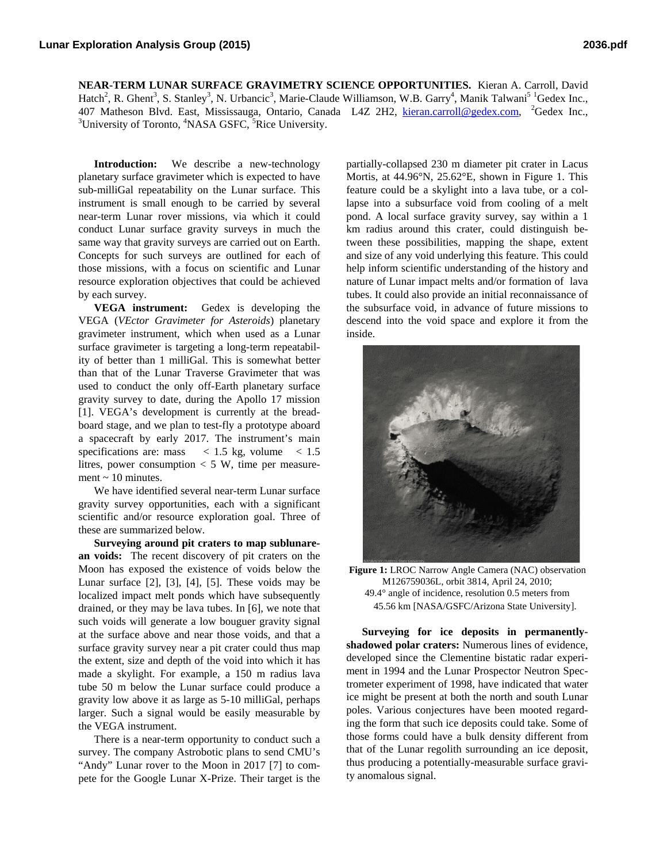**NEAR-TERM LUNAR SURFACE GRAVIMETRY SCIENCE OPPORTUNITIES.** Kieran A. Carroll, David Hatch<sup>2</sup>, R. Ghent<sup>3</sup>, S. Stanley<sup>3</sup>, N. Urbancic<sup>3</sup>, Marie-Claude Williamson, W.B. Garry<sup>4</sup>, Manik Talwani<sup>5 1</sup>Gedex Inc., 407 Matheson Blvd. East, Mississauga, Ontario, Canada L4Z 2H2, kieran.carroll@gedex.com, 2Gedex Inc., 3 University of Toronto, <sup>4</sup>NASA GSFC, <sup>5</sup>Rice University.

**Introduction:** We describe a new-technology planetary surface gravimeter which is expected to have sub-milliGal repeatability on the Lunar surface. This instrument is small enough to be carried by several near-term Lunar rover missions, via which it could conduct Lunar surface gravity surveys in much the same way that gravity surveys are carried out on Earth. Concepts for such surveys are outlined for each of those missions, with a focus on scientific and Lunar resource exploration objectives that could be achieved by each survey.

**VEGA instrument:** Gedex is developing the VEGA (*VEctor Gravimeter for Asteroids*) planetary gravimeter instrument, which when used as a Lunar surface gravimeter is targeting a long-term repeatability of better than 1 milliGal. This is somewhat better than that of the Lunar Traverse Gravimeter that was used to conduct the only off-Earth planetary surface gravity survey to date, during the Apollo 17 mission [1]. VEGA's development is currently at the breadboard stage, and we plan to test-fly a prototype aboard a spacecraft by early 2017. The instrument's main specifications are: mass  $\lt$  1.5 kg, volume  $\lt$  1.5 litres, power consumption  $<$  5 W, time per measurement  $\sim$  10 minutes.

We have identified several near-term Lunar surface gravity survey opportunities, each with a significant scientific and/or resource exploration goal. Three of these are summarized below.

**Surveying around pit craters to map sublunarean voids:** The recent discovery of pit craters on the Moon has exposed the existence of voids below the Lunar surface  $[2]$ ,  $[3]$ ,  $[4]$ ,  $[5]$ . These voids may be localized impact melt ponds which have subsequently drained, or they may be lava tubes. In [6], we note that such voids will generate a low bouguer gravity signal at the surface above and near those voids, and that a surface gravity survey near a pit crater could thus map the extent, size and depth of the void into which it has made a skylight. For example, a 150 m radius lava tube 50 m below the Lunar surface could produce a gravity low above it as large as 5-10 milliGal, perhaps larger. Such a signal would be easily measurable by the VEGA instrument.

There is a near-term opportunity to conduct such a survey. The company Astrobotic plans to send CMU's "Andy" Lunar rover to the Moon in 2017 [7] to compete for the Google Lunar X-Prize. Their target is the

partially-collapsed 230 m diameter pit crater in Lacus Mortis, at 44.96°N, 25.62°E, shown in Figure 1. This feature could be a skylight into a lava tube, or a collapse into a subsurface void from cooling of a melt pond. A local surface gravity survey, say within a 1 km radius around this crater, could distinguish between these possibilities, mapping the shape, extent and size of any void underlying this feature. This could help inform scientific understanding of the history and nature of Lunar impact melts and/or formation of lava tubes. It could also provide an initial reconnaissance of the subsurface void, in advance of future missions to descend into the void space and explore it from the inside.



**Figure 1:** LROC Narrow Angle Camera (NAC) observation M126759036L, orbit 3814, April 24, 2010; 49.4° angle of incidence, resolution 0.5 meters from 45.56 km [NASA/GSFC/Arizona State University].

**Surveying for ice deposits in permanentlyshadowed polar craters:** Numerous lines of evidence, developed since the Clementine bistatic radar experiment in 1994 and the Lunar Prospector Neutron Spectrometer experiment of 1998, have indicated that water ice might be present at both the north and south Lunar poles. Various conjectures have been mooted regarding the form that such ice deposits could take. Some of those forms could have a bulk density different from that of the Lunar regolith surrounding an ice deposit, thus producing a potentially-measurable surface gravity anomalous signal.